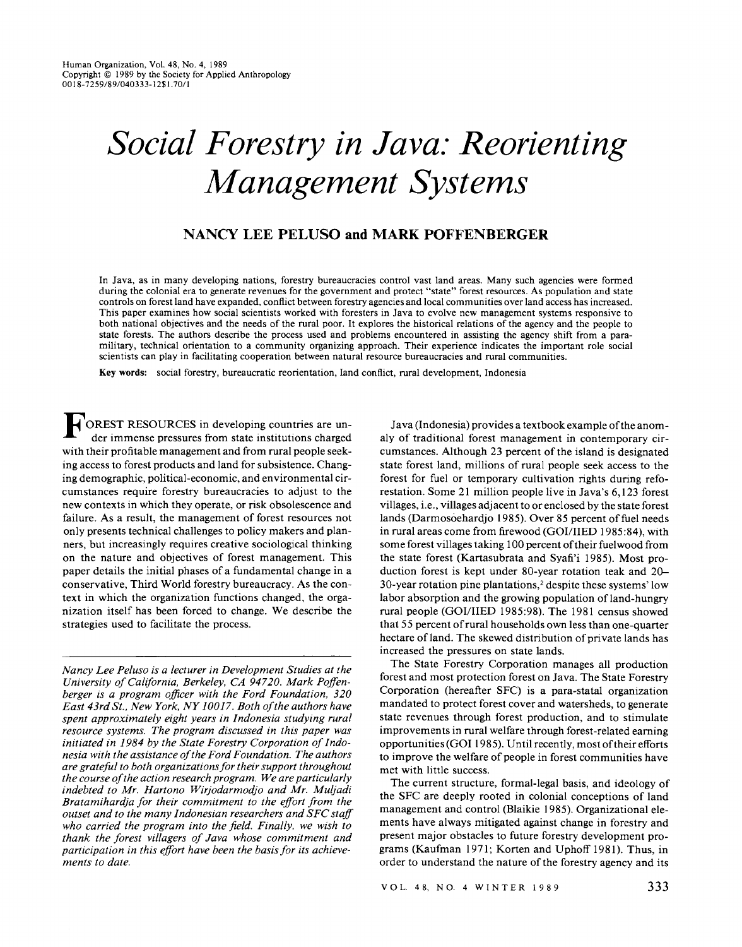# *Social Forestry in Java: Reorienting Management Systems*

## **NANCY LEE PELUSO and MARK POFFENBERGER**

In Java, as in many developing nations, forestry bureaucracies control vast land areas. Many such agencies were formed during the colonial era to generate revenues for the government and protect "state" forest resources. As population and state controls on forest land have expanded, conflict between forestry agencies and local communities over land access has increased. This paper examines how social scientists worked with foresters in Java to evolve new management systems responsive to both national objectives and the needs of the rural poor. It explores the historical relations of the agency and the people to state forests. The authors describe the process used and problems encountered in assisting the agency shift from a paramilitary, technical orientation to a community organizing approach. Their experience indicates the important role social scientists can play in facilitating cooperation between natural resource bureaucracies and rural communities.

**Key words:** social forestry, bureaucratic reorientation, land conflict, rural development, Indonesia

RESOURCES in developing countries are under immense pressures from state institutions charged with their profitable management and from rural people seeking access to forest products and land for subsistence. Changing demographic, political-economic, and environmental circumstances require forestry bureaucracies to adjust to the new contexts in which they operate, or risk obsolescence and failure. As a result, the management of forest resources not only presents technical challenges to policy makers and planners, but increasingly requires creative sociological thinking on the nature and objectives of forest management. This paper details the initial phases of a fundamental change in a conservative, Third World forestry bureaucracy. As the context in which the organization functions changed, the organization itself has been forced to change. We describe the strategies used to facilitate the process.

*Nancy Lee Peluso is a lecturer in Development Studies at the University of California, Berkeley, CA 94720. Mark Poffenberger is a program officer with the Ford Foundation, 320 East 43rd St., New York, NY 10017. Both of the authors have spent approximately eight years in Indonesia studying rural resource systems. The program discussed in this paper was initiated in 1984 by the State Forestry Corporation of Indonesia with the assistance of the Ford Foundation. The authors are grateful to both organizations for their support throughout the course of the action research program. We are particularly indebted to Mr. Hartono Witjodarmodjo and Mr. Muljadz Bratamihardja for their commitment to the effort from the outset and to the many Indonesian researchers and SFCstaff who carried the program into the field. Finally, we wish to thank the forest villagers of Java whose commitment and participation in this effort have been the basis for its achievements to date.* 

--

Java (Indonesia) provides a textbook example of the anomaly of traditional forest management in contemporary circumstances. Although 23 percent of the island is designated state forest land, millions of rural people seek access to the forest for fuel or temporary cultivation rights during reforestation. Some 21 million people live in Java's 6,123 forest villages, i.e., villages adjacent to or enclosed by the state forest lands (Darmosoehardjo 1985). Over 85 percent of fuel needs in rural areas come from firewood (GOI/IIED 1985:84), with some forest villages taking 100 percent oftheir fuelwood from the state forest (Kartasubrata and Syafi'i 1985). Most production forest is kept under 80-year rotation teak and 20- 30-year rotation pine plantations.<sup>2</sup> despite these systems' low labor absorption and the growing population of land-hungry rural people (GOI/IIED 1985:98). The 1981 census showed that 55 percent of rural households own less than one-quarter hectare of land. The skewed distribution of private lands has increased the pressures on state lands.

The State Forestry Corporation manages all production forest and most protection forest on Java. The State Forestry Corporation (hereafter SFC) is a para-statal organization mandated to protect forest cover and watersheds, to generate state revenues through forest production, and to stimulate improvements in rural welfare through forest-related earning opportunities (GO1 1985). Until recently, most of their efforts to improve the welfare of people in forest communities have met with little success.

The current structure, formal-legal basis, and ideology of the SFC are deeply rooted in colonial conceptions of land management and control (Blaikie 1985). Organizational elements have always mitigated against change in forestry and present major obstacles to future forestry development programs (Kaufman 1971; Korten and Uphoff 1981). Thus, in order to understand the nature of the forestry agency and its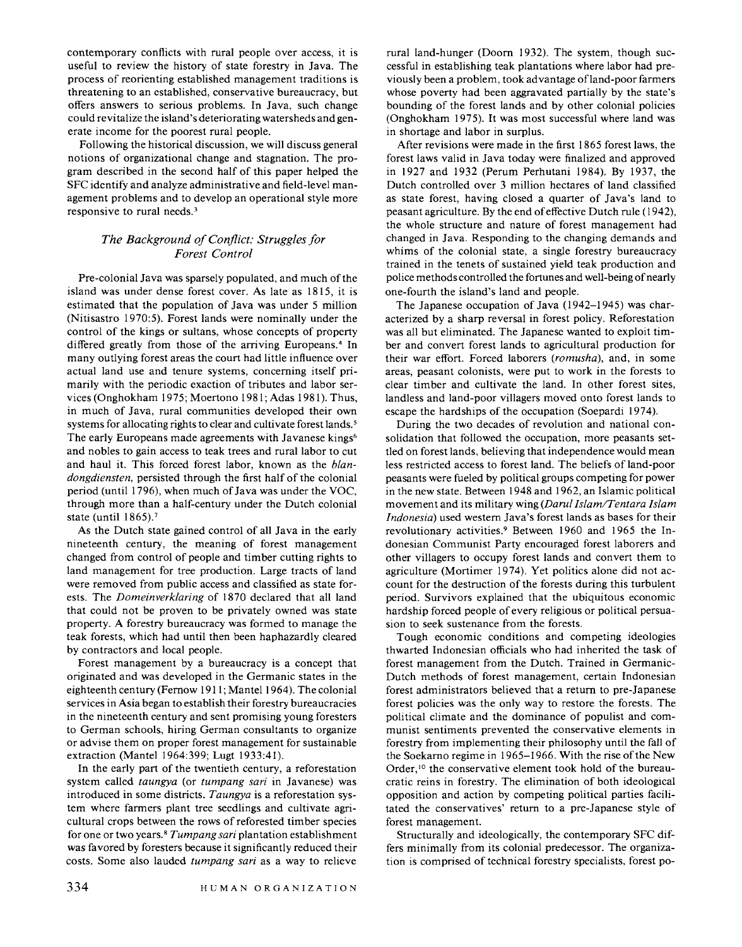contemporary conflicts with rural people over access, it is useful to review the history of state forestry in Java. The process of reorienting established management traditions is threatening to an established, conservative bureaucracy, but offers answers to serious problems. In Java, such change could revitalize the island's deteriorating watersheds and generate income for the poorest rural people.

Following the historical discussion, we will discuss general notions of organizational change and stagnation. The program described in the second half of this paper helped the SFC identify and analyze administrative and field-level management problems and to develop an operational style more responsive to rural needs.'

## *The Background of Conflict: Struggles for Forest Control*

Pre-colonial Java was sparsely populated, and much of the island was under dense forest cover. As late as 1815, it is estimated that the population of Java was under 5 million (Nitisastro 1970:5). Forest lands were nominally under the control of the kings or sultans, whose concepts of property differed greatly from those of the arriving Europeans.<sup>4</sup> In many outlying forest areas the court had little influence over actual land use and tenure systems, concerning itself primarily with the periodic exaction of tributes and labor services (Onghokham 1975; Moertono 1981; Adas 1981). Thus, in much of Java, rural communities developed their own systems for allocating rights to clear and cultivate forest lands.<sup>5</sup> The early Europeans made agreements with Javanese kings<sup>6</sup> and nobles to gain access to teak trees and rural labor to cut and haul it. This forced forest labor, known as the blandongdiensten, persisted through the first half of the colonial period (until 1796), when much of Java was under the VOC, through more than a half-century under the Dutch colonial state (until 1865).'

As the Dutch state gained control of all Java in the early nineteenth century, the meaning of forest management changed from control of people and timber cutting rights to land management for tree production. Large tracts of land were removed from public access and classified as state forests. The Domeinverklaring of 1870 declared that all land that could not be proven to be privately owned was state property. A forestry bureaucracy was formed to manage the teak forests, which had until then been haphazardly cleared by contractors and local people.

Forest management by a bureaucracy is a concept that originated and was developed in the Germanic states in the eighteenth century (Fernow 1911; Mantel 1964). The colonial services in Asia began to establish their forestry bureaucracies in the nineteenth century and sent promising young foresters to German schools, hiring German consultants to organize or advise them on proper forest management for sustainable extraction (Mantel 1964:399; Lugt 1933:41).

In the early part of the twentieth century, a reforestation system called taungya (or tumpang sari in Javanese) was introduced in some districts. Taungya is a reforestation system where farmers plant tree seedlings and cultivate agricultural crops between the rows of reforested timber species for one or two years.<sup>8</sup> Tumpang sari plantation establishment was favored by foresters because it significantly reduced their costs. Some also lauded tumpang sari as a way to relieve

rural land-hunger (Doom 1932). The system, though successful in establishing teak plantations where labor had previously been a problem, took advantage of land-poor farmers whose poverty had been aggravated partially by the state's bounding of the forest lands and by other colonial policies (Onghokham 1975). It was most successful where land was in shortage and labor in surplus.

After revisions were made in the first 1865 forest laws, the forest laws valid in Java today were finalized and approved in 1927 and 1932 (Perum Perhutani 1984). By 1937, the Dutch controlled over 3 million hectares of land classified as state forest, having closed a quarter of Java's land to peasant agriculture. By the end of effective Dutch rule (1942), the whole structure and nature of forest management had changed in Java. Responding to the changing demands and whims of the colonial state, a single forestry bureaucracy trained in the tenets of sustained yield teak production and police methods controlled the fortunes and well-being of nearly one-fourth the island's land and people.

The Japanese occupation of Java (1942-1945) was characterized by a sharp reversal in forest policy. Reforestation was all but eliminated. The Japanese wanted to exploit timber and convert forest lands to agricultural production for their war effort. Forced laborers (romusha), and, in some areas, peasant colonists, were put to work in the forests to clear timber and cultivate the land. In other forest sites, landless and land-poor villagers moved onto forest lands to escape the hardships of the occupation (Soepardi 1974).

During the two decades of revolution and national consolidation that followed the occupation, more peasants settled on forest lands, believing that independence would mean less restricted access to forest land. The beliefs of land-poor peasants were fueled by political groups competing for power in the new state. Between 1948 and 1962, an Islamic political movement and its military wing (Darul Islam/Tentara Islam Indonesia) used western Java's forest lands as bases for their revolutionary activities.<sup>9</sup> Between 1960 and 1965 the Indonesian Communist Party encouraged forest laborers and other villagers to occupy forest lands and convert them to agriculture (Mortimer 1974). Yet politics alone did not account for the destruction of the forests during this turbulent period. Survivors explained that the ubiquitous economic hardship forced people of every religious or political persuasion to seek sustenance from the forests.

Tough economic conditions and competing ideologies thwarted Indonesian officials who had inherited the task of forest management from the Dutch. Trained in Germanic-Dutch methods of forest management, certain Indonesian forest administrators believed that a return to pre-Japanese forest policies was the only way to restore the forests. The political climate and the dominance of populist and communist sentiments prevented the conservative elements in forestry from implementing their philosophy until the fall of the Soekarno regime in 1965-1966. With the rise of the New Order,<sup>10</sup> the conservative element took hold of the bureaucratic reins in forestry. The elimination of both ideological opposition and action by competing political parties facilitated the conservatives' return to a pre-Japanese style of forest management.

Structurally and ideologically, the contemporary SFC differs minimally from its colonial predecessor. The organization is comprised of technical forestry specialists, forest po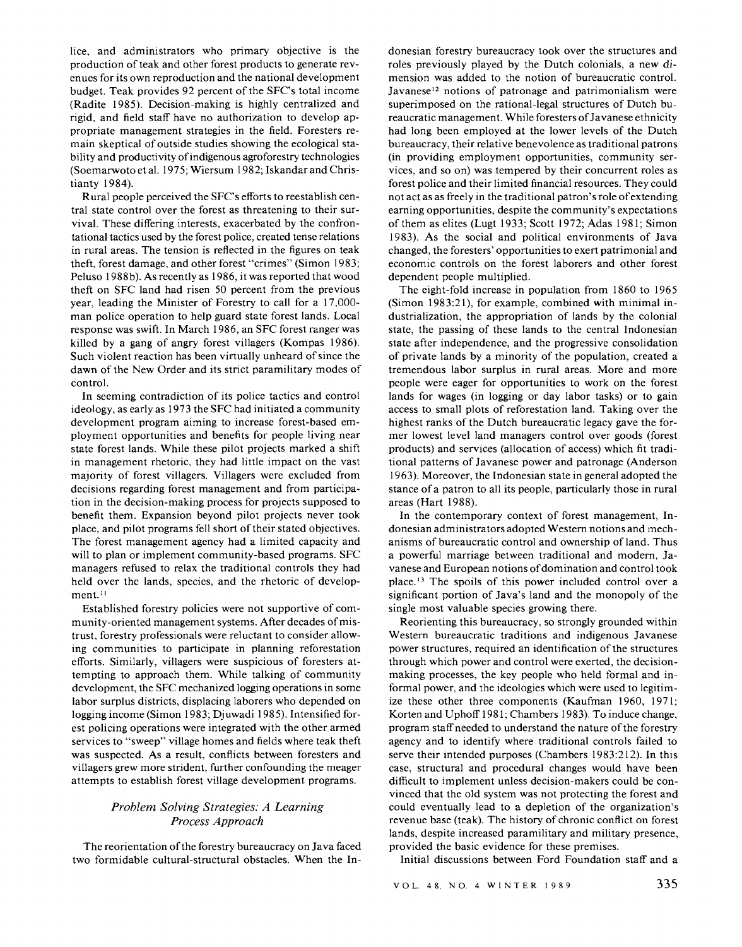lice, and administrators who primary objective is the production of teak and other forest products to generate revenues for its own reproduction and the national development budget. Teak provides 92 percent of the SFC's total income (Radite 1985). Decision-making is highly centralized and rigid, and field staff have no authorization to develop appropriate management strategies in the field. Foresters remain skeptical of outside studies showing the ecological stability and productivity of indigenous agroforestry technologies (Soemarwoto et al. 1975; Wiersum 1982; Iskandar and Christianty 1984).

Rural people perceived the SFC's efforts to reestablish central state control over the forest as threatening to their survival. These differing interests, exacerbated by the confrontational tactics used by the forest police, created tense relations in rural areas. The tension is reflected in the figures on teak theft, forest damage, and other forest "crimes" (Simon 1983; Peluso 1988b). As recently as 1986, it was reported that wood theft on SFC land had risen 50 percent from the previous year, leading the Minister of Forestry to call for a 17,000 man police operation to help guard state forest lands. Local response was swift. In March 1986, an SFC forest ranger was killed by a gang of angry forest villagers (Kompas 1986). Such violent reaction has been virtually unheard of since the dawn of the New Order and its strict paramilitary modes of control.

In seeming contradiction of its police tactics and control ideology, as early as 1973 the SFC had initiated a community development program aiming to increase forest-based employment opportunities and benefits for people living near state forest lands. While these pilot projects marked a shift in management rhetoric, they had little impact on the vast majority of forest villagers. Villagers were excluded from decisions regarding forest management and from participation in the decision-making process for projects supposed to benefit them. Expansion beyond pilot projects never took place, and pilot programs fell short of their stated objectives. The forest management agency had a limited capacity and will to plan or implement community-based programs. SFC managers refused to relax the traditional controls they had held over the lands, species, and the rhetoric of development.<sup>11</sup>

Established forestry policies were not supportive of community-oriented management systems. After decades of mistrust, forestry professionals were reluctant to consider allowing communities to participate in planning reforestation efforts. Similarly, villagers were suspicious of foresters attempting to approach them. While talking of community development, the SFC mechanized logging operations in some labor surplus districts, displacing laborers who depended on logging income (Simon 1983; Djuwadi 1985). Intensified forest policing operations were integrated with the other armed services to "sweep" village homes and fields where teak theft was suspected. As a result, conflicts between foresters and villagers grew more strident, further confounding the meager attempts to establish forest village development programs.

## *Problem Solving Strategies: A Learning Process Approach*

The reorientation of the forestry bureaucracy on Java faced two formidable cultural-structural obstacles. When the Indonesian forestry bureaucracy took over the structures and roles previously played by the Dutch colonials, a new **di**mension was added to the notion of bureaucratic control. Javanese<sup>12</sup> notions of patronage and patrimonialism were superimposed on the rational-legal structures of Dutch bureaucratic management. While foresters of Javanese ethnicity had long been employed at the lower levels of the Dutch bureaucracy, their relative benevolence as traditional patrons (in providing employment opportunities, community services, and so on) was tempered by their concurrent roles as forest police and their limited financial resources. They could not act as as freely in the traditional patron's role ofextending earning opportunities, despite the community's expectations of them as elites (Lugt 1933; Scott 1972; Adas 1981; Simon 1983). As the social and political environments of Java changed, the foresters' opportunities to exert patrimonial and economic controls on the forest laborers and other forest dependent people multiplied.

The eight-fold increase in population from 1860 to 1965 (Simon 1983:21), for example, combined with minimal industrialization, the appropriation of lands by the colonial state, the passing of these lands to the central Indonesian state after independence, and the progressive consolidation of private lands by a minority of the population, created a tremendous labor surplus in rural areas. More and more people were eager for opportunities to work on the forest lands for wages (in logging or day labor tasks) or to gain access to small plots of reforestation land. Taking over the highest ranks of the Dutch bureaucratic legacy gave the former lowest level land managers control over goods (forest products) and services (allocation of access) which fit traditional patterns of Javanese power and patronage (Anderson 1963). Moreover, the Indonesian state in general adopted the stance of a patron to all its people, particularly those in rural areas (Hart 1988).

In the contemporary context of forest management, Indonesian administrators adopted Western notions and mechanisms of bureaucratic control and ownership of land. Thus a powerful marriage between traditional and modem, Javanese and European notions of domination and control took place.13 The spoils of this power included control over a significant portion of Java's land and the monopoly of the single most valuable species growing there.

Reorienting this bureaucracy, so strongly grounded within Western bureaucratic traditions and indigenous Javanese power structures, required an identification of the structures through which power and control were exerted, the decisionmaking processes, the key people who held formal and informal power, and the ideologies which were used to legitimize these other three components (Kaufman 1960, 1971; Korten and Uphoff 198 1; Chambers 1983). To induce change, program staff needed to understand the nature of the forestry agency and to identify where traditional controls failed to serve their intended purposes (Chambers 1983:212). In this case, structural and procedural changes would have been difficult to implement unless decision-makers could be convinced that the old system was not protecting the forest and could eventually lead to a depletion of the organization's revenue base (teak). The history of chronic conflict on forest lands, despite increased paramilitary and military presence, provided the basic evidence for these premises.

Initial discussions between Ford Foundation staff and a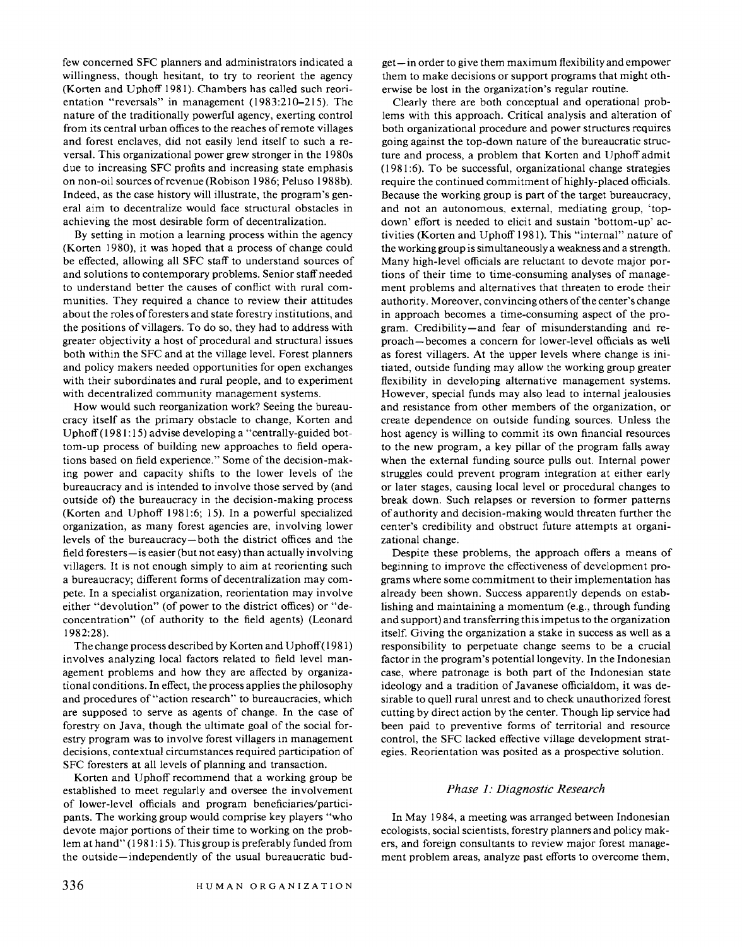few concerned SFC planners and administrators indicated a willingness, though hesitant, to try to reorient the agency (Korten and Uphoff 1981). Chambers has called such reorientation "reversals" in management (1983:210-215). The nature of the traditionally powerful agency, exerting control from its central urban offices to the reaches of remote villages and forest enclaves, did not easily lend itself to such a reversal. This organizational power grew stronger in the 1980s due to increasing SFC profits and increasing state emphasis on non-oil sources of revenue (Robison 1986; Peluso 1988b). Indeed, as the case history will illustrate, the program's general aim to decentralize would face structural obstacles in achieving the most desirable form of decentralization.

By setting in motion a learning process within the agency (Korten 1980), it was hoped that a process of change could be effected, allowing all SFC staff to understand sources of and solutions to contemporary problems. Senior staff needed to understand better the causes of conflict with rural communities. They required a chance to review their attitudes about the roles of foresters and state forestry institutions, and the positions of villagers. To do so, they had to address with greater objectivity a host of procedural and structural issues both within the SFC and at the village level. Forest planners and policy makers needed opportunities for open exchanges with their subordinates and rural people, and to experiment with decentralized community management systems.

How would such reorganization work? Seeing the bureaucracy itself as the primary obstacle to change, Korten and Uphoff  $(1981:15)$  advise developing a "centrally-guided bottom-up process of building new approaches to field operations based on field experience." Some of the decision-making power and capacity shifts to the lower levels of the bureaucracy and is intended to involve those served by (and outside of) the bureaucracy in the decision-making process (Korten and Uphoff 1981:6; 15). In a powerful specialized organization, as many forest agencies are, involving lower levels of the bureaucracy-both the district offices and the field foresters-is easier (but not easy) than actually involving villagers. It is not enough simply to aim at reorienting such a bureaucracy; different forms of decentralization may compete. In a specialist organization, reorientation may involve either "devolution" (of power to the district offices) or "deconcentration" (of authority to the field agents) (Leonard 1982:28).

The change process described by Korten and Uphoff(198 1) involves analyzing local factors related to field level management problems and how they are affected by organizational conditions. In effect, the process applies the philosophy and procedures of "action research" to bureaucracies, which are supposed to serve as agents of change. In the case of forestry on Java, though the ultimate goal of the social forestry program was to involve forest villagers in management decisions, contextual circumstances required participation of SFC foresters at all levels of planning and transaction.

Korten and Uphoff recommend that a working group be established to meet regularly and oversee the involvement of lower-level officials and program beneficiaries/participants. The working group would comprise key players "who devote major portions of their time to working on the problem at hand" (1981:15). This group is preferably funded from the outside-independently of the usual bureaucratic bud-

get- in order to give them maximum flexibility and empower them to make decisions or support programs that might otherwise be lost in the organization's regular routine.

Clearly there are both conceptual and operational problems with this approach. Critical analysis and alteration of both organizational procedure and power structures requires going against the top-down nature of the bureaucratic structure and process, a problem that Korten and Uphoff admit (1 98 1 *:6).* To be successful, organizational change strategies require the continued commitment of highly-placed officials. Because the working group is part of the target bureaucracy, and not an autonomous, external, mediating group, 'topdown' effort is needed to elicit and sustain 'bottom-up' activities (Korten and Uphoff 198 1). This "internal" nature of the working group is simultaneously a weakness and a strength. Many high-level officials are reluctant to devote major portions of their time to time-consuming analyses of management problems and alternatives that threaten to erode their authority. Moreover, convincing others of the center's change in approach becomes a time-consuming aspect of the program. Credibility-and fear of misunderstanding and reproach-becomes a concern for lower-level officials as well as forest villagers. At the upper levels where change is initiated, outside funding may allow the working group greater flexibility in developing alternative management systems. However, special funds may also lead to internal jealousies and resistance from other members of the organization, or create dependence on outside funding sources. Unless the host agency is willing to commit its own financial resources to the new program, a key pillar of the program falls away when the external funding source pulls out. Internal power struggles could prevent program integration at either early or later stages, causing local level or procedural changes to break down. Such relapses or reversion to former patterns of authority and decision-making would threaten further the center's credibility and obstruct future attempts at organizational change.

Despite these problems, the approach offers a means of beginning to improve the effectiveness of development programs where some commitment to their implementation has already been shown. Success apparently depends on establishing and maintaining a momentum (e.g., through funding and support) and transferring this impetus to the organization itself. Giving the organization a stake in success as well as a responsibility to perpetuate change seems to be a crucial factor in the program's potential longevity. In the Indonesian case, where patronage is both part of the Indonesian state ideology and a tradition of Javanese officialdom, it was desirable to quell rural unrest and to check unauthorized forest cutting by direct action by the center. Though lip service had been paid to preventive forms of territorial and resource control, the SFC lacked effective village development strategies. Reorientation was posited as a prospective solution.

#### *Phase I: Diagnostic Research*

In May 1984, a meeting was arranged between Indonesian ecologists, social scientists, forestry planners and policy makers, and foreign consultants to review major forest management problem areas, analyze past efforts to overcome them,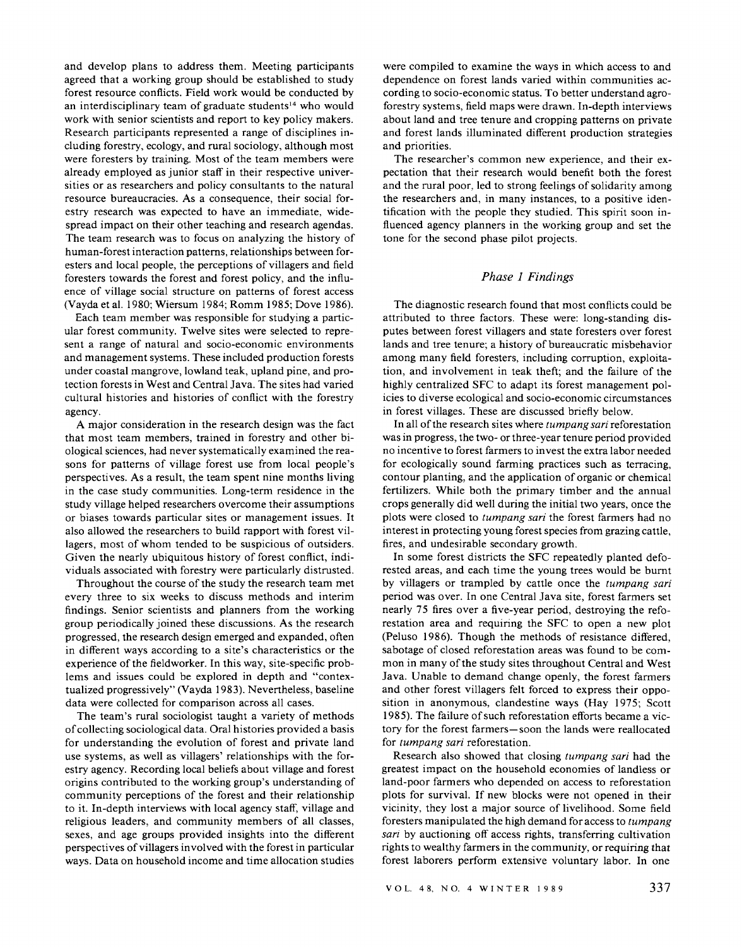and develop plans to address them. Meeting participants agreed that a working group should be established to study forest resource conflicts. Field work would be conducted by an interdisciplinary team of graduate students<sup>14</sup> who would work with senior scientists and report to key policy makers. Research participants represented a range of disciplines including forestry, ecology, and rural sociology, although most were foresters by training. Most of the team members were already employed as junior staff in their respective universities or as researchers and policy consultants to the natural resource bureaucracies. As a consequence, their social forestry research was expected to have an immediate, widespread impact on their other teaching and research agendas. The team research was to focus on analyzing the history of human-forest interaction patterns, relationships between foresters and local people, the perceptions of villagers and field foresters towards the forest and forest policy, and the influence of village social structure on patterns of forest access (Vayda et al. 1980; Wiersum 1984; Romm 1985; Dove 1986).

Each team member was responsible for studying a particular forest community. Twelve sites were selected to represent a range of natural and socio-economic environments and management systems. These included production forests under coastal mangrove, lowland teak, upland pine, and protection forests in West and Central Java. The sites had varied cultural histories and histories of conflict with the forestry agency.

A major consideration in the research design was the fact that most team members, trained in forestry and other biological sciences, had never systematically examined the reasons for patterns of village forest use from local people's perspectives. As a result, the team spent nine months living in the case study communities. Long-term residence in the study village helped researchers overcome their assumptions or biases towards particular sites or management issues. It also allowed the researchers to build rapport with forest villagers, most of whom tended to be suspicious of outsiders. Given the nearly ubiquitous history of forest conflict, individuals associated with forestry were particularly distrusted.

Throughout the course of the study the research team met every three to six weeks to discuss methods and interim findings. Senior scientists and planners from the working group periodically joined these discussions. As the research progressed, the research design emerged and expanded, often in different ways according to a site's characteristics or the experience of the fieldworker. In this way, site-specific problems and issues could be explored in depth and "contextualized progressively" (Vayda 1983). Nevertheless, baseline data were collected for comparison across all cases.

The team's rural sociologist taught a variety of methods of collecting sociological data. Oral histories provided a basis for understanding the evolution of forest and private land use systems, as well as villagers' relationships with the forestry agency. Recording local beliefs about village and forest origins contributed to the working group's understanding of community perceptions of the forest and their relationship to it. In-depth interviews with local agency staff, village and religious leaders, and community members of all classes, sexes, and age groups provided insights into the different perspectives of villagers involved with the forest in particular ways. Data on household income and time allocation studies

were compiled to examine the ways in which access to and dependence on forest lands varied within communities according to socio-economic status. To better understand agroforestry systems, field maps were drawn. In-depth interviews about land and tree tenure and cropping patterns on private and forest lands illuminated different production strategies and priorities.

The researcher's common new experience, and their expectation that their research would benefit both the forest and the rural poor, led to strong feelings of solidarity among the researchers and, in many instances, to a positive identification with the people they studied. This spirit soon influenced agency planners in the working group and set the tone for the second phase pilot projects.

#### *Phase 1 Findings*

The diagnostic research found that most conflicts could be attributed to three factors. These were: long-standing disputes between forest villagers and state foresters over forest lands and tree tenure; a history of bureaucratic misbehavior among many field foresters, including corruption, exploitation, and involvement in teak theft; and the failure of the highly centralized SFC to adapt its forest management policies to diverse ecological and socio-economic circumstances in forest villages. These are discussed briefly below.

In all of the research sites where *tumpangsari* reforestation was in progress, the two- or three-year tenure period provided no incentive to forest farmers to invest the extra labor needed for ecologically sound farming practices such as terracing, contour planting, and the application of organic or chemical fertilizers. While both the primary timber and the annual crops generally did well during the initial two years, once the plots were closed to *tumpang sari* the forest farmers had no interest in protecting young forest species from grazing cattle, fires, and undesirable secondary growth.

In some forest districts the SFC repeatedly planted deforested areas, and each time the young trees would be burnt by villagers or trampled by cattle once the *tumpang sari*  period was over. In one Central Java site, forest farmers set nearly 75 fires over a five-year period, destroying the reforestation area and requiring the SFC to open a new plot (Peluso 1986). Though the methods of resistance differed, sabotage of closed reforestation areas was found to be common in many of the study sites throughout Central and West Java. Unable to demand change openly, the forest farmers and other forest villagers felt forced to express their opposition in anonymous, clandestine ways (Hay 1975; Scott 1985). The failure of such reforestation efforts became a victory for the forest farmers-soon the lands were reallocated for *tumpang sari* reforestation.

Research also showed that closing *tumpang sari* had the greatest impact on the household economies of landless or land-poor farmers who depended on access to reforestation plots for survival. If new blocks were not opened in their vicinity, they lost a major source of livelihood. Some field foresters manipulated the high demand for access to *tumpang sari* by auctioning off access rights, transferring cultivation rights to wealthy farmers in the community, or requiring that forest laborers perform extensive voluntary labor. In one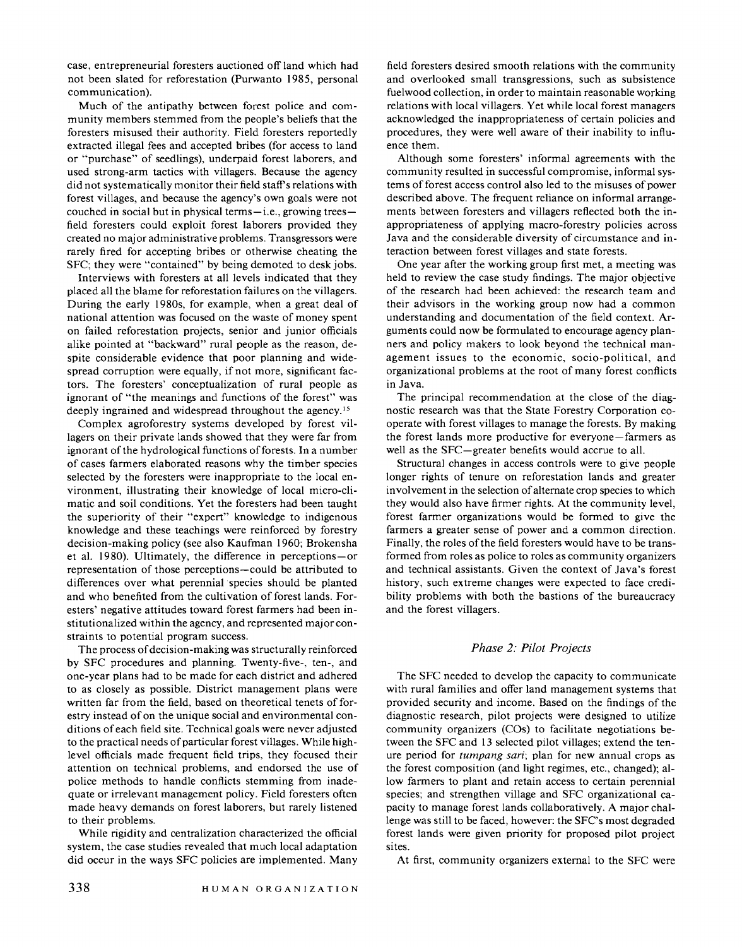case, entrepreneurial foresters auctioned off land which had not been slated for reforestation (Purwanto 1985, personal communication).

Much of the antipathy between forest police and community members stemmed from the people's beliefs that the foresters misused their authority. Field foresters reportedly extracted illegal fees and accepted bribes (for access to land or "purchase" of seedlings), underpaid forest laborers, and used strong-arm tactics with villagers. Because the agency did not systematically monitor their field staff's relations with forest villages, and because the agency's own goals were not couched in social but in physical terms-i.e., growing treesfield foresters could exploit forest laborers provided they created no major administrative problems. Transgressors were rarely fired for accepting bribes or otherwise cheating the SFC; they were "contained" by being demoted to desk jobs.

Interviews with foresters at all levels indicated that they placed all the blame for reforestation failures on the villagers. During the early 1980s, for example, when a great deal of national attention was focused on the waste of money spent on failed reforestation projects, senior and junior officials alike pointed at "backward" rural people as the reason, despite considerable evidence that poor planning and widespread corruption were equally, if not more, significant factors. The foresters' conceptualization of rural people as ignorant of "the meanings and functions of the forest" was deeply ingrained and widespread throughout the agency.<sup>15</sup>

Complex agroforestry systems developed by forest villagers on their private lands showed that they were far from ignorant of the hydrological functions of forests. In a number of cases farmers elaborated reasons why the timber species selected by the foresters were inappropriate to the local environment, illustrating their knowledge of local micro-climatic and soil conditions. Yet the foresters had been taught the superiority of their "expert" knowledge to indigenous knowledge and these teachings were reinforced by forestry decision-making policy (see also Kaufman 1960; Brokensha et al. 1980). Ultimately, the difference in perceptions-or representation of those perceptions-could be attributed to differences over what perennial species should be planted and who benefited from the cultivation of forest lands. Foresters' negative attitudes toward forest farmers had been institutionalized within the agency, and represented major constraints to potential program success.

The process of decision-making was structurally reinforced by SFC procedures and planning. Twenty-five-, ten-, and one-year plans had to be made for each district and adhered to as closely as possible. District management plans were written far from the field, based on theoretical tenets of forestry instead of on the unique social and environmental conditions of each field site. Technical goals were never adjusted to the practical needs of particular forest villages. While highlevel officials made frequent field trips, they focused their attention on technical problems, and endorsed the use of police methods to handle conflicts stemming from inadequate or irrelevant management policy. Field foresters often made heavy demands on forest laborers, but rarely listened to their problems.

While rigidity and centralization characterized the official system, the case studies revealed that much local adaptation did occur in the ways SFC policies are implemented. Many field foresters desired smooth relations with the community and overlooked small transgressions, such as subsistence fuelwood collection, in order to maintain reasonable working relations with local villagers. Yet while local forest managers acknowledged the inappropriateness of certain policies and procedures, they were well aware of their inability to influence them.

Although some foresters' informal agreements with the community resulted in successful compromise, informal systems of forest access control also led to the misuses of power described above. The frequent reliance on informal arrangements between foresters and villagers reflected both the inappropriateness of applying macro-forestry policies across Java and the considerable diversity of circumstance and interaction between forest villages and state forests.

One year after the working group first met, a meeting was held to review the case study findings. The major objective of the research had been achieved: the research team and their advisors in the working group now had a common understanding and documentation of the field context. Arguments could now be formulated to encourage agency planners and policy makers to look beyond the technical management issues to the economic, socio-political, and organizational problems at the root of many forest conflicts in Java.

The principal recommendation at the close of the diagnostic research was that the State Forestry Corporation cooperate with forest villages to manage the forests. By making the forest lands more productive for everyone-farmers as well as the SFC-greater benefits would accrue to all.

Structural changes in access controls were to give people longer rights of tenure on reforestation lands and greater involvement in the selection of alternate crop species to which they would also have firmer rights. At the community level, forest farmer organizations would be formed to give the farmers a greater sense of power and a common direction. Finally, the roles of the field foresters would have to be transformed from roles as police to roles as community organizers and technical assistants. Given the context of Java's forest history, such extreme changes were expected to face credibility problems with both the bastions of the bureaucracy and the forest villagers.

### *Phase 2: Pilot Projects*

The SFC needed to develop the capacity to communicate with rural families and offer land management systems that provided security and income. Based on the findings of the diagnostic research, pilot projects were designed to utilize community organizers (COs) to facilitate negotiations between the SFC and 13 selected pilot villages; extend the tenure period for *tumpang sari*; plan for new annual crops as the forest composition (and light regimes, etc., changed); allow farmers to plant and retain access to certain perennial species; and strengthen village and SFC organizational capacity to manage forest lands collaboratively. A major challenge was still to be faced, however: the SFC's most degraded forest lands were given priority for proposed pilot project sites.

At first, community organizers external to the SFC were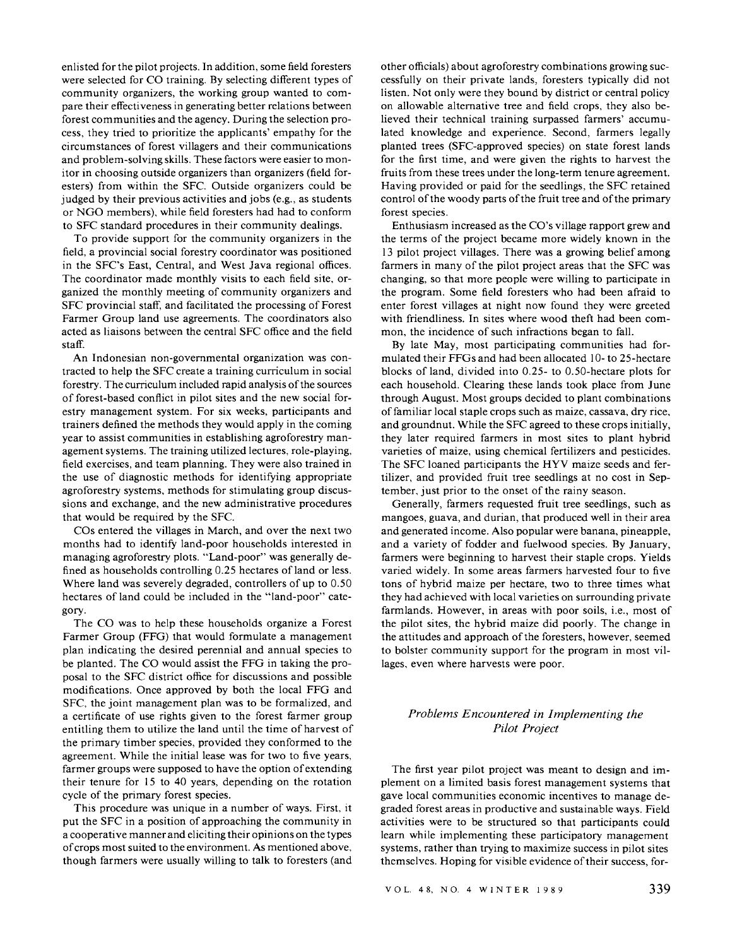enlisted for the pilot projects. In addition, some field foresters were selected for CO training. By selecting different types of community organizers, the working group wanted to compare their effectiveness in generating better relations between forest communities and the agency. During the selection process, they tried to prioritize the applicants' empathy for the circumstances of forest villagers and their communications and problem-solving skills. These factors were easier to monitor in choosing outside organizers than organizers (field foresters) from within the SFC. Outside organizers could be judged by their previous activities and jobs (e.g., as students or NGO members), while field foresters had had to conform to SFC standard procedures in their community dealings.

To provide support for the community organizers in the field, a provincial social forestry coordinator was positioned in the SFC's East, Central, and West Java regional offices. The coordinator made monthly visits to each field site, organized the monthly meeting of community organizers and SFC provincial staff, and facilitated the processing of Forest Farmer Group land use agreements. The coordinators also acted as liaisons between the central SFC office and the field staff.

An Indonesian non-governmental organization was contracted to help the SFC create a training curriculum in social forestry. The curriculum included rapid analysis of the sources of forest-based conflict in pilot sites and the new social forestry management system. For six weeks, participants and trainers defined the methods they would apply in the coming year to assist communities in establishing agroforestry management systems. The training utilized lectures, role-playing, field exercises, and team planning. They were also trained in the use of diagnostic methods for identifying appropriate agroforestry systems, methods for stimulating group discussions and exchange, and the new administrative procedures that would be required by the SFC.

COs entered the villages in March, and over the next two months had to identify land-poor households interested in managing agroforestry plots. "Land-poor" was generally defined as households controlling 0.25 hectares of land or less. Where land was severely degraded, controllers of up to 0.50 hectares of land could be included in the "land-poor" category.

The CO was to help these households organize a Forest Farmer Group (FFG) that would formulate a management plan indicating the desired perennial and annual species to be planted. The CO would assist the FFG in taking the proposal to the SFC district office for discussions and possible modifications. Once approved by both the local FFG and SFC, the joint management plan was to be formalized, and a certificate of use rights given to the forest farmer group entitling them to utilize the land until the time of harvest of the primary timber species, provided they conformed to the agreement. While the initial lease was for two to five years, farmer groups were supposed to have the option of extending their tenure for 15 to 40 years, depending on the rotation cycle of the primary forest species.

This procedure was unique in a number of ways. First, it put the SFC in a position of approaching the community in a cooperative manner and eliciting their opinions on the types of crops most suited to the environment. As mentioned above, though farmers were usually willing to talk to foresters (and other officials) about agroforestry combinations growing successfully on their private lands, foresters typically did not listen. Not only were they bound by district or central policy on allowable alternative tree and field crops, they also believed their technical training surpassed farmers' accumulated knowledge and experience. Second, farmers legally planted trees (SFC-approved species) on state forest lands for the first time, and were given the rights to harvest the fruits from these trees under the long-term tenure agreement. Having provided or paid for the seedlings, the SFC retained control of the woody parts of the fruit tree and of the primary forest species.

Enthusiasm increased as the CO's village rapport grew and the terms of the project became more widely known in the 13 pilot project villages. There was a growing belief among farmers in many of the pilot project areas that the SFC was changing, so that more people were willing to participate in the program. Some field foresters who had been afraid to enter forest villages at night now found they were greeted with friendliness. In sites where wood theft had been common, the incidence of such infractions began to fall.

By late May, most participating communities had formulated their FFGs and had been allocated 10- to 25-hectare blocks of land, divided into 0.25- to 0.50-hectare plots for each household. Clearing these lands took place from June through August. Most groups decided to plant combinations of familiar local staple crops such as maize, cassava, dry rice, and groundnut. While the SFC agreed to these crops initially, they later required farmers in most sites to plant hybrid varieties of maize, using chemical fertilizers and pesticides. The SFC loaned participants the HYV maize seeds and fertilizer, and provided fruit tree seedlings at no cost in September, just prior to the onset of the rainy season.

Generally, farmers requested fruit tree seedlings, such as mangoes, guava, and durian, that produced well in their area and generated income. Also popular were banana, pineapple, and a variety of fodder and fuelwood species. By January, farmers were beginning to harvest their staple crops. Yields varied widely. In some areas farmers harvested four to five tons of hybrid maize per hectare, two to three times what they had achieved with local varieties on surrounding private farmlands. However, in areas with poor soils, i.e., most of the pilot sites, the hybrid maize did poorly. The change in the attitudes and approach of the foresters, however, seemed to bolster community support for the program in most villages, even where harvests were poor.

## *Problems Encountered in Implementing the Pilot Project*

The first year pilot project was meant to design and implement on a limited basis forest management systems that gave local communities economic incentives to manage degraded forest areas in productive and sustainable ways. Field activities were to be structured so that participants could learn while implementing these participatory management systems, rather than trying to maximize success in pilot sites themselves. Hoping for visible evidence of their success, for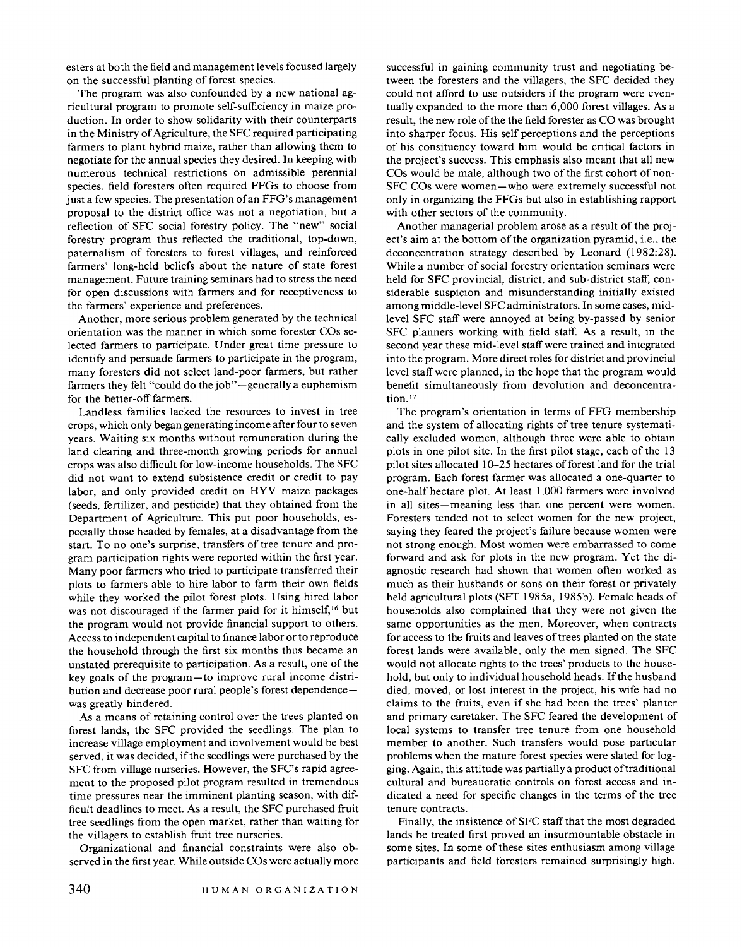esters at both the field and management levels focused largely on the successful planting of forest species.

The program was also confounded by a new national agricultural program to promote self-sufficiency in maize production. In order to show solidarity with their counterparts in the Ministry of Agriculture, the SFC required participating farmers to plant hybrid maize, rather than allowing them to negotiate for the annual species they desired. In keeping with numerous technical restrictions on admissible perennial species, field foresters often required FFGs to choose from just a few species. The presentation of an FFG's management proposal to the district office was not a negotiation, but a reflection of SFC social forestry policy. The "new" social forestry program thus reflected the traditional, top-down, paternalism of foresters to forest villages, and reinforced farmers' long-held beliefs about the nature of state forest management. Future training seminars had to stress the need for open discussions with farmers and for receptiveness to the farmers' experience and preferences.

Another, more serious problem generated by the technical orientation was the manner in which some forester COs selected farmers to participate. Under great time pressure to identify and persuade farmers to participate in the program, many foresters did not select land-poor farmers, but rather farmers they felt "could do the job"-generally a euphemism for the better-off farmers.

Landless families lacked the resources to invest in tree crops, which only began generating income after four to seven years. Waiting six months without remuneration during the land clearing and three-month growing periods for annual crops was also difficult for low-income households. The SFC did not want to extend subsistence credit or credit to pay labor, and only provided credit on HYV maize packages (seeds, fertilizer, and pesticide) that they obtained from the Department of Agriculture. This put poor households, especially those headed by females, at a disadvantage from the start. To no one's surprise, transfers of tree tenure and program participation rights were reported within the first year. Many poor farmers who tried to participate transferred their plots to farmers able to hire labor to farm their own fields while they worked the pilot forest plots. Using hired labor was not discouraged if the farmer paid for it himself,<sup>16</sup> but the program would not provide financial support to others. Access to independent capital to finance labor or to reproduce the household through the first six months thus became an unstated prerequisite to participation. As a result, one of the key goals of the program-to improve rural income distribution and decrease poor rural people's forest dependencewas greatly hindered.

As a means of retaining control over the trees planted on forest lands, the SFC provided the seedlings. The plan to increase village employment and involvement would be best served, it was decided, if the seedlings were purchased by the SFC from village nurseries. However, the SFC's rapid agreement to the proposed pilot program resulted in tremendous time pressures near the imminent planting season, with difficult deadlines to meet. As a result, the SFC purchased fruit tree seedlings from the open market, rather than waiting for the villagers to establish fruit tree nurseries.

Organizational and financial constraints were also observed in the first year. While outside COs were actually more successful in gaining community trust and negotiating between the foresters and the villagers, the SFC decided they could not afford to use outsiders if the program were eventually expanded to the more than 6,000 forest villages. As a result, the new role of the the field forester as CO was brought into sharper focus. His self perceptions and the perceptions of his consituency toward him would be critical factors in the project's success. This emphasis also meant that all new COs would be male, although two of the first cohort of non-SFC COs were women-who were extremely successful not only in organizing the FFGs but also in establishing rapport with other sectors of the community.

Another managerial problem arose as a result of the project's aim at the bottom of the organization pyramid, i.e., the deconcentration strategy described by Leonard (1982:28). While a number of social forestry orientation seminars were held for SFC provincial, district, and sub-district staff, considerable suspicion and misunderstanding initially existed among middle-level SFC administrators. In some cases, midlevel SFC staff were annoyed at being by-passed by senior SFC planners working with field staff. As a result, in the second year these mid-level staff were trained and integrated into the program. More direct roles for district and provincial level staff were planned, in the hope that the program would benefit simultaneously from devolution and deconcentration. **l7** 

The program's orientation in terms of FFG membership and the system of allocating rights of tree tenure systematically excluded women, although three were able to obtain plots in one pilot site. In the first pilot stage, each of the 13 pilot sites allocated 10-25 hectares of forest land for the trial program. Each forest farmer was allocated a one-quarter to one-half hectare plot. At least 1,000 farmers were involved in all sites-meaning less than one percent were women. Foresters tended not to select women for the new project, saying they feared the project's failure because women were not strong enough. Most women were embarrassed to come forward and ask for plots in the new program. Yet the diagnostic research had shown that women often worked as much as their husbands or sons on their forest or privately held agricultural plots (SFT 1985a, 1985b). Female heads of households also complained that they were not given the same opportunities as the men. Moreover, when contracts for access to the fruits and leaves of trees planted on the state forest lands were available, only the men signed. The SFC would not allocate rights to the trees' products to the household, but only to individual household heads. If the husband died, moved, or lost interest in the project, his wife had no claims to the fruits, even if she had been the trees' planter and primary caretaker. The SFC feared the development of local systems to transfer tree tenure from one household member to another. Such transfers would pose particular problems when the mature forest species were slated for logging. Again, this attitude was partially a product of traditional cultural and bureaucratic controls on forest access and indicated a need for specific changes in the terms of the tree tenure contracts.

Finally, the insistence of SFC staff that the most degraded lands be treated first proved an insurmountable obstacle in some sites. In some of these sites enthusiasm among village participants and field foresters remained surprisingly high.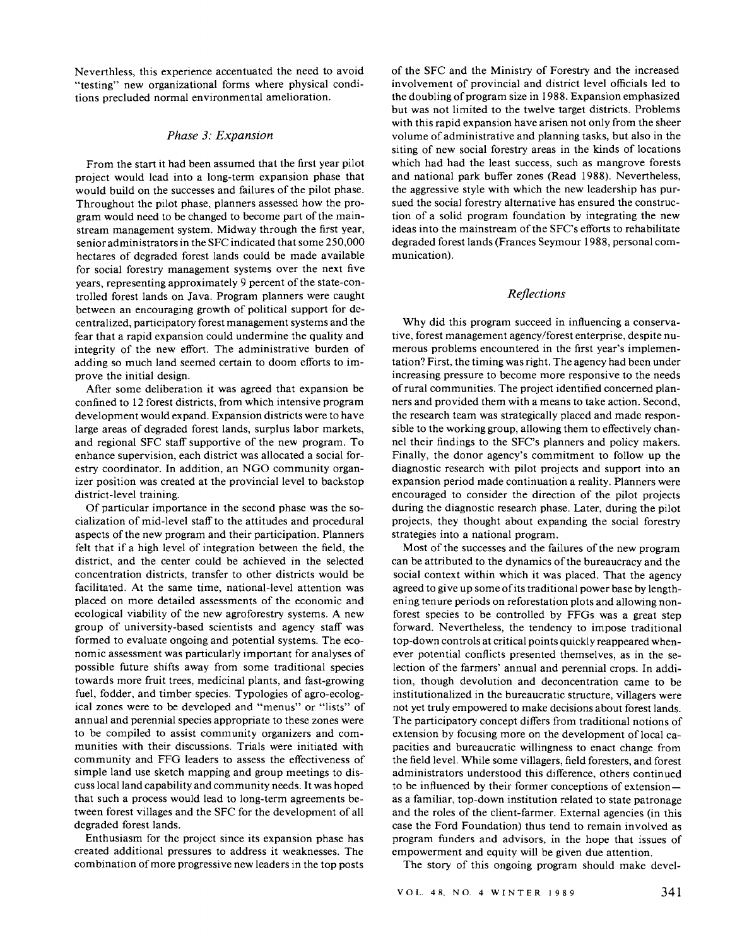Neverthless, this experience accentuated the need to avoid "testing" new organizational forms where physical conditions precluded normal environmental amelioration.

## *Phase 3: Expansion*

From the start it had been assumed that the first year pilot project would lead into a long-term expansion phase that would build on the successes and failures of the pilot phase. Throughout the pilot phase, planners assessed how the program would need to be changed to become part of the mainstream management system. Midway through the first year, senior administrators in the SFC indicated that some 250,000 hectares of degraded forest lands could be made available for social forestry management systems over the next five years, representing approximately 9 percent of the state-controlled forest lands on Java. Program planners were caught between an encouraging growth of political support for decentralized, participatory forest management systems and the fear that a rapid expansion could undermine the quality and integrity of the new effort. The administrative burden of adding so much land seemed certain to doom efforts to improve the initial design.

After some deliberation it was agreed that expansion be confined to 12 forest districts, from which intensive program development would expand. Expansion districts were to have large areas of degraded forest lands, surplus labor markets, and regional SFC staff supportive of the new program. To enhance supervision, each district was allocated a social forestry coordinator. In addition, an NGO community organizer position was created at the provincial level to backstop district-level training.

Of particular importance in the second phase was the socialization of mid-level staff to the attitudes and procedural aspects of the new program and their participation. Planners felt that if a high level of integration between the field, the district, and the center could be achieved in the selected concentration districts, transfer to other districts would be facilitated. At the same time, national-level attention was placed on more detailed assessments of the economic and ecological viability of the new agroforestry systems. **A** new group of university-based scientists and agency staff was formed to evaluate ongoing and potential systems. The economic assessment was particularly important for analyses of possible future shifts away from some traditional species towards more fruit trees, medicinal plants, and fast-growing fuel, fodder, and timber species. Typologies of agro-ecological zones were to be developed and "menus" or "lists" of annual and perennial species appropriate to these zones were to be compiled to assist community organizers and communities with their discussions. Trials were initiated with community and FFG leaders to assess the effectiveness of simple land use sketch mapping and group meetings to discuss local land capability and community needs. It was hoped that such a process would lead to long-term agreements between forest villages and the SFC for the development of all degraded forest lands.

Enthusiasm for the project since its expansion phase has created additional pressures to address it weaknesses. The combination of more progressive new leaders in the top posts of the SFC and the Ministry of Forestry and the increased involvement of provincial and district level officials led to the doubling of program size in 1988. Expansion emphasized but was not limited to the twelve target districts. Problems with this rapid expansion have arisen not only from the sheer volume of administrative and planning tasks, but also in the siting of new social forestry areas in the kinds of locations which had had the least success, such as mangrove forests and national park buffer zones (Read 1988). Nevertheless, the aggressive style with which the new leadership has pursued the social forestry alternative has ensured the construction of a solid program foundation by integrating the new ideas into the mainstream of the SFC's efforts to rehabilitate degraded forest lands (Frances Seymour 1988, personal communication).

## *Reflections*

Why did this program succeed in influencing a conservative, forest management agency/forest enterprise, despite numerous problems encountered in the first year's implementation? First, the timing was right. The agency had been under increasing pressure to become more responsive to the needs of rural communities. The project identified concerned planners and provided them with a means to take action. Second, the research team was strategically placed and made responsible to the working group, allowing them to effectively channel their findings to the SFC's planners and policy makers. Finally, the donor agency's commitment to follow up the diagnostic research with pilot projects and support into an expansion period made continuation a reality. Planners were encouraged to consider the direction of the pilot projects during the diagnostic research phase. Later, during the pilot projects, they thought about expanding the social forestry strategies into a national program.

Most of the successes and the failures of the new program can be attributed to the dynamics of the bureaucracy and the social context within which it was placed. That the agency agreed to give up some of its traditional power base by lengthening tenure periods on reforestation plots and allowing nonforest species to be controlled by FFGs was a great step forward. Nevertheless, the tendency to impose traditional top-down controls at critical points quickly reappeared whenever potential conflicts presented themselves, as in the selection of the farmers' annual and perennial crops. In addition, though devolution and deconcentration came to be institutionalized in the bureaucratic structure, villagers were not yet truly empowered to make decisions about forest lands. The participatory concept differs from traditional notions of extension by focusing more on the development of local capacities and bureaucratic willingness to enact change from the field level. While some villagers, field foresters, and forest administrators understood this difference, others continued to be influenced by their former conceptions of extensionas a familiar, top-down institution related to state patronage and the roles of the client-farmer. External agencies (in this case the Ford Foundation) thus tend to remain involved as program funders and advisors, in the hope that issues of empowerment and equity will be given due attention.

The story of this ongoing program should make devel-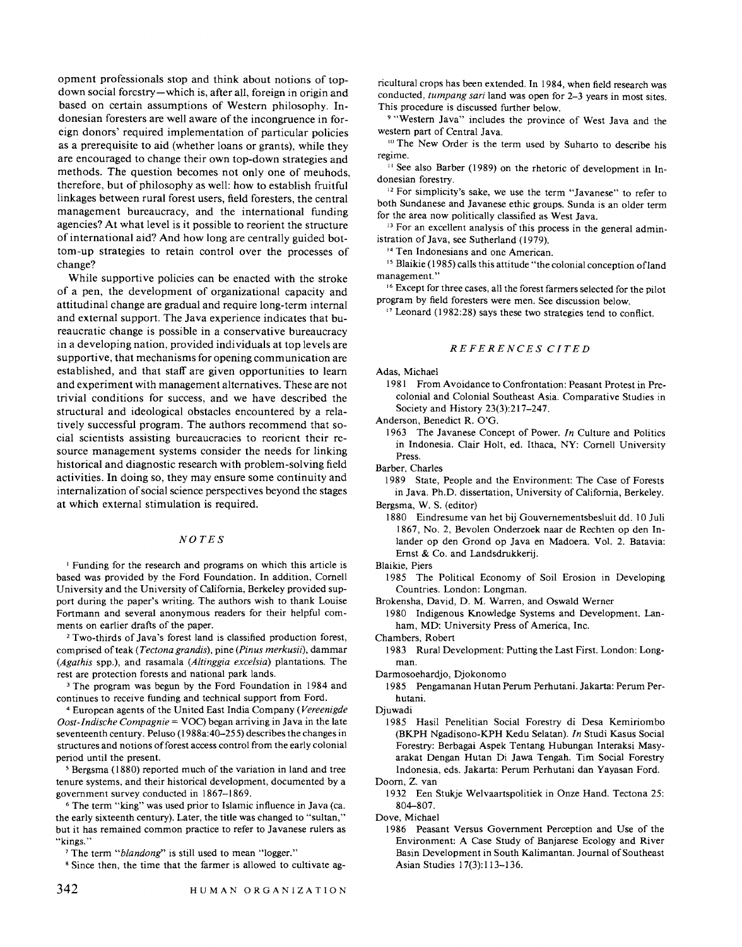opment professionals stop and think about notions of topdown social forestry—which is, after all, foreign in origin and based on certain assumptions of Western philosophy. Indonesian foresters are well aware of the incongruence in foreign donors' required implementation of particular policies as a prerequisite to aid (whether loans or grants), while they are encouraged to change their own top-down strategies and methods. The question becomes not only one of meuhods, therefore, but of philosophy as well: how to establish fruitful linkages between rural forest users, field foresters, the central management bureaucracy, and the international funding agencies? At what level is it possible to reorient the structure of international aid? And how long are centrally guided bottom-up strategies to retain control over the processes of change?

While supportive policies can be enacted with the stroke of a pen, the development of organizational capacity and attitudinal change are gradual and require long-term internal and external support. The Java experience indicates that bureaucratic change is possible in a conservative bureaucracy in a developing nation, provided individuals at top levels are supportive, that mechanisms for opening communication are established, and that staff are given opportunities to learn and experiment with management alternatives. These are not trivial conditions for success, and we have described the structural and ideological obstacles encountered by a relatively successful program. The authors recommend that social scientists assisting bureaucracies to reorient their resource management systems consider the needs for linking historical and diagnostic research with problem-solving field activities. In doing so, they may ensure some continuity and internalization of social science perspectives beyond the stages at which external stimulation is required.

### NOTES

<sup>1</sup> Funding for the research and programs on which this article is based was provided by the Ford Foundation. In addition, Cornell University and the University of California, Berkeley provided support during the paper's writing. The authors wish to thank Louise Fortmann and several anonymous readers for their helpful comments on earlier drafts of the paper.

Two-thirds of Java's forest land is classified production forest, comprised of teak (Tectona grandis), pine (Pinus merkusii), dammar (Agathis spp.), and rasamala (Altinggia excelsia) plantations. The rest are protection forests and national park lands.

<sup>3</sup> The program was begun by the Ford Foundation in 1984 and continues to receive funding and technical support from Ford.

European agents of the United East India Company (Vereenigde Oost-Indische Compagnie =  $VOC$ ) began arriving in Java in the late seventeenth century. Peluso (1988a: 40–255) describes the changes in structures and notions of forest access control from the early colonial period until the present.

<sup>5</sup> Bergsma (1880) reported much of the variation in land and tree tenure systems, and their historical development, documented by a government survey conducted in 1867-1869.

The term "king" was used prior to Islamic influence in Java (ca. the early sixteenth century). Later, the title was changed to "sultan," but it has remained common practice to refer to Javanese rulers as "kings."

<sup>7</sup> The term "blandong" is still used to mean "logger."

Since then, the time that the farmer is allowed to cultivate ag-

ricultural crops has been extended. In 1984, when field research was conducted, tumpang sari land was open for 2-3 years in most sites. This procedure is discussed further below.

"Western Java" includes the province of West Java and the western part of Central Java.

<sup>10</sup> The New Order is the term used by Suharto to describe his regime.

See also Barber (1989) on the rhetoric of development in Indonesian forestry.

**l2** For simplicity's sake, we use the term "Javanese" to refer to both Sundanese and Javanese ethic groups. Sunda is an older term for the area now politically classified as West Java.

<sup>13</sup> For an excellent analysis of this process in the general administration of Java, see Sutherland (1979).

**l4** Ten Indonesians and one American.

<sup>15</sup> Blaikie (1985) calls this attitude "the colonial conception of land management."

**j6** Except for three cases, all the forest farmers selected for the pilot program by field foresters were men. See discussion below.

<sup>17</sup> Leonard (1982:28) says these two strategies tend to conflict.

#### REFERENCES CITED

Adas, Michael

1981 From Avoidance to Confrontation: Peasant Protest in Precolonial and Colonial Southeast Asia. Comparative Studies in Society and History 23(3):217-247.

Anderson, Benedict R. O'G.

1963 The Javanese Concept of Power. In Culture and Politics in Indonesia. Clair Holt, ed. Ithaca, NY: Cornell University Press.

Barber, Charles

1989 State, People and the Environment: The Case of Forests in Java. Ph.D. dissertation, University of California, Berkeley. Bergsma, W. S. (editor)

1880 Eindresume van het bij Gouvernementsbesluit dd. 10 Juli 1867, No. 2, Bevolen Onderzoek naar de Rechten op den Inlander op den Grond op Java en Madoera. Vol. 2. Batavia: Ernst & Co. and Landsdrukkerij.

Blaikie, Piers

1985 The Political Economy of Soil Erosion in Developing Countries. London: Longman.

Brokensha, David, D. M. Warren, and Oswald Werner

1980 Indigenous Knowledge Systems and Development. Lanham, MD: University Press of America, Inc.

Chambers, Robert

1983 Rural Development: Putting the Last First. London: Longman.

Darmosoehardjo, Djokonomo

1985 Pengamanan Hutan Perum Perhutani. Jakarta: Perum Perhutani.

Djuwadi

- 1985 Hasil Penelitian Social Forestry di Desa Kemiriombo (BKPH Ngadisono-KPH Kedu Selatan). In Studi Kasus Social Forestry: Berbagai Aspek Tentang Hubungan Interaksi Masyarakat Dengan Hutan Di Jawa Tengah. Tim Social Forestry Indonesia, eds. Jakarta: Perum Perhutani dan Yayasan Ford. Doom, Z. van
- - 1932 Een Stukje Welvaartspolitiek in Onze Hand. Tectona 25: 804-807.

Dove, Michael

1986 Peasant Versus Government Perception and Use of the Environment: A Case Study of Banjarese Ecology and River Basin Development in South Kalimantan. Journal of Southeast Asian Studies 17(3): 1 13-1 36.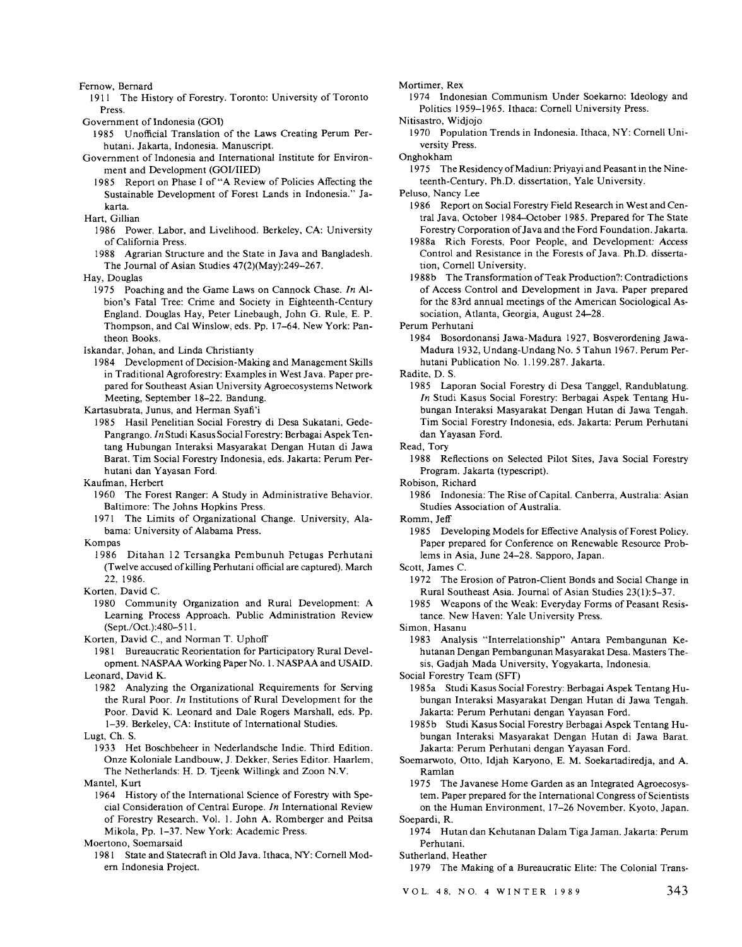Femow, Bernard

1911 The History of Forestry. Toronto: University of Toronto Press.

- Government of Indonesia (GOI)
- 1985 Unofficial Translation of the Laws Creating Perum Perhutani. Jakarta, Indonesia. Manuscript.
- Government of Indonesia and International Institute for Environment and Development (GOI/IIED)
	- 1985 Report on Phase I of "A Review of Policies Affecting the Sustainable Development of Forest Lands in Indonesia." Jakarta.
- Hart, Gillian
	- 1986 Power. Labor, and Livelihood. Berkeley, CA: University of California Press.
	- 1988 Agrarian Structure and the State in Java and Bangladesh. The Journal of Asian Studies 47(2)(May):249-267.
- Hay, Douglas
	- 1975 Poaching and the Game Laws on Cannock Chase. *In* Albion's Fatal Tree: Crime and Society in Eighteenth-Century England. Douglas Hay, Peter Linebaugh, John G. Rule, E. P. Thompson, and Cal Winslow, eds. Pp. 17-64. New York: Pantheon Books.

Iskandar, Johan, and Linda Christianty

1984 Development of Decision-Making and Management Skills in Traditional Agroforestry: Examples in West Java. Paper prepared for Southeast Asian University Agroecosystems Network Meeting, September 18-22. Bandung.

Kartasubrata, Junus, and Herman Syafi'i

1985 Hasil Penelitian Social Forestry di Desa Sukatani, Gede-Pangrango. *In* Studi Kasus Social Forestry: Berbagai Aspek Tentang Hubungan Interaksi Masyarakat Dengan Hutan di Jawa Barat. Tim Social Forestry Indonesia, eds. Jakarta: Perum Perhutani dan Yayasan Ford.

Kaufman, Herbert

- 1960 The Forest Ranger: A Study in Administrative Behavior. Baltimore: The Johns Hopkins Press.
- 1971 The Limits of Organizational Change. University, Alabama: University of Alabama Press.

#### Kompas

- 1986 Ditahan 12 Tersangka Pembunuh Petugas Perhutani (Twelve accused of killing Perhutani official are captured). March 22, 1986.
- Korten, David C.
	- 1980 Community Organization and Rural Development: A Learning Process Approach. Public Administration Review (Sept./Oct.):480-5 1 1.

Korten, David C., and Norman T. Uphoff

- 1981 Bureaucratic Reorientation for Participatory Rural Development. NASPAA Working Paper No. 1. NASPAA and USAID. Leonard, David K.
- 1982 Analyzing the Organizational Requirements for Serving the Rural Poor. *In* Institutions of Rural Development for the Poor. David K. Leonard and Dale Rogers Marshall, eds. Pp. 1-39. Berkeley, CA: Institute of International Studies.
- Lugt, Ch. S.
	- 1933 Het Boschbeheer in Nederlandsche Indie. Third Edition. Onze Koloniale Landbouw, J. Dekker, Series Editor. Haarlem, The Netherlands: H. D. Tjeenk Willingk and Zoon N.V.
- Mantel, Kurt
	- 1964 History of the International Science of Forestry with Special Consideration of Central Europe. *In* International Review of Forestry Research. Vol. 1. John A. Romberger and Peitsa Mikola, Pp. 1-37. New York: Academic Press.

Moertono, Soemarsaid

1981 State and Statecraft in Old Java. Ithaca, NY: Cornell Modem Indonesia Project.

Mortimer, Rex

- 1974 Indonesian Communism Under Soekarno: Ideology and Politics 1959-1965. Ithaca: Cornell University Press.
- Nitisastro, Widjojo
	- 1970 Population Trends in Indonesia. Ithaca, NY: Comell University Press.
- Onghokham
	- 1975 The Residency ofMadiun: Priyayi and Peasant in the Nineteenth-Century. Ph.D. dissertation, Yale University.

Peluso, Nancy Lee

- 1986 Report on Social Forestry Field Research in West and Central Java, October 1984-October 1985. Prepared for The State Forestry Corporation of Java and the Ford Foundation. Jakarta.
- 1988a Rich Forests, Poor People, and Development: Access Control and Resistance in the Forests of Java. Ph.D. dissertation, Cornell University.
- 1988b The Transformation of Teak Production?: Contradictions of Access Control and Development in Java. Paper prepared for the 83rd annual meetings of the American Sociological Association, Atlanta, Georgia, August 24-28.

Perum Perhutani

1984 Bosordonansi Jawa-Madura 1927, Bosverordening Jawa-Madura 1932, Undang-Undang No. 5 Tahun 1967. Perum Perhutani Publication No. 1.199.287. Jakarta.

Radite, D. S.

1985 Laporan Social Forestry di Desa Tanggel, Randublatung. *In* Studi Kasus Social Forestry: Berbagai Aspek Tentang Hubungan Interaksi Masyarakat Dengan Hutan di Jawa Tengah. Tim Social Forestry Indonesia, eds. Jakarta: Perum Perhutani dan Yayasan Ford.

Read, Tory

- 1988 Reflections on Selected Pilot Sites, Java Social Forestry Program. Jakarta (typescript).
- Robison, Richard
	- 1986 Indonesia: The Rise of Capital. Canberra, Australia: Asian Studies Association of Australia.

Romm, Jeff

1985 Developing Models for Effective Analysis of Forest Policy. Paper prepared for Conference on Renewable Resource Problems in Asia, June 24-28. Sapporo, Japan.

Scott, James C.

- 1972 The Erosion of Patron-Client Bonds and Social Change in Rural Southeast Asia. Journal of Asian Studies 23(1):5-37.
- 1985 Weapons of the Weak: Everyday Forms of Peasant Resistance. New Haven: Yale University Press.

Simon, Hasanu

1983 Analysis "Interrelationship" Antara Pembangunan Kehutanan Dengan Pembangunan Masyarakat Desa. Masters Thesis, Gadjah Mada University, Yogyakarta, Indonesia.

Social Forestry Team (SFT)

- 1985a Studi Kasus Social Forestry: Berbagai Aspek Tentang Hubungan Interaksi Masyarakat Dengan Hutan di Jawa Tengah. Jakarta: Perum Perhutani dengan Yayasan Ford.
- 1985b Studi Kasus Social Forestry Berbagai Aspek Tentang Hubungan Interaksi Masyarakat Dengan Hutan di Jawa Barat. Jakarta: Perum Perhutani dengan Yayasan Ford.
- Soemarwoto, Otto, Idjah Karyono, E. M. Soekartadiredja, and A. Ramlan

1975 The Javanese Home Garden as an Integrated Agroecosystern. Paper prepared for the International Congress of Scientists on the Human Environment, 17-26 November. Kyoto, Japan. Soepardi, R.

1974 Hutan dan Kehutanan Dalam Tiga Jaman. Jakarta: Perum Perhutani.

Sutherland, Heather

1979 The Making of a Bureaucratic Elite: The Colonial Trans-